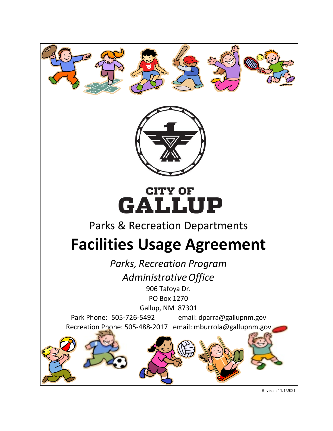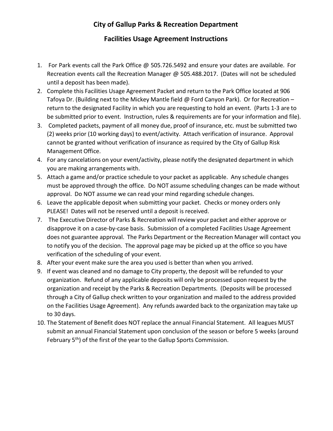## **City of Gallup Parks & Recreation Department**

## **Facilities Usage Agreement Instructions**

- 1. For Park events call the Park Office @ 505.726.5492 and ensure your dates are available. For Recreation events call the Recreation Manager @ 505.488.2017. (Dates will not be scheduled until a deposit has been made).
- 2. Complete this Facilities Usage Agreement Packet and return to the Park Office located at 906 Tafoya Dr. (Building next to the Mickey Mantle field @ Ford Canyon Park). Or for Recreation – return to the designated Facility in which you are requesting to hold an event. (Parts 1-3 are to be submitted prior to event. Instruction, rules & requirements are for your information and file).
- 3. Completed packets, payment of all money due, proof of insurance, etc. must be submitted two (2) weeks prior (10 working days) to event/activity. Attach verification of insurance. Approval cannot be granted without verification of insurance as required by the City of Gallup Risk Management Office.
- 4. For any cancelations on your event/activity, please notify the designated department in which you are making arrangements with.
- 5. Attach a game and/or practice schedule to your packet as applicable. Any schedule changes must be approved through the office. Do NOT assume scheduling changes can be made without approval. Do NOT assume we can read your mind regarding schedule changes.
- 6. Leave the applicable deposit when submitting your packet. Checks or money orders only PLEASE! Dates will not be reserved until a deposit is received.
- 7. The Executive Director of Parks & Recreation will review your packet and either approve or disapprove it on a case-by-case basis. Submission of a completed Facilities Usage Agreement does not guarantee approval. The Parks Department or the Recreation Manager will contact you to notify you of the decision. The approval page may be picked up at the office so you have verification of the scheduling of your event.
- 8. After your event make sure the area you used is better than when you arrived.
- 9. If event was cleaned and no damage to City property, the deposit will be refunded to your organization. Refund of any applicable deposits will only be processed upon request by the organization and receipt by the Parks & Recreation Departments. (Deposits will be processed through a City of Gallup check written to your organization and mailed to the address provided on the Facilities Usage Agreement). Any refunds awarded back to the organization may take up to 30 days.
- 10. The Statement of Benefit does NOT replace the annual Financial Statement. All leagues MUST submit an annual Financial Statement upon conclusion of the season or before 5 weeks (around February 5<sup>th</sup>) of the first of the year to the Gallup Sports Commission.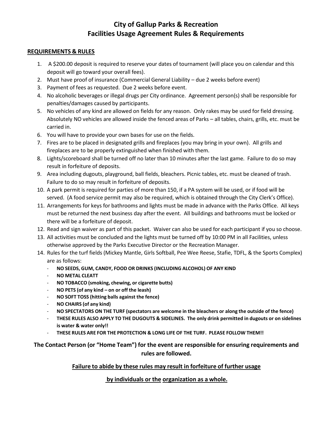## **City of Gallup Parks & Recreation Facilities Usage Agreement Rules & Requirements**

#### **REQUIREMENTS & RULES**

- 1. A \$200.00 deposit is required to reserve your dates of tournament (will place you on calendar and this deposit will go toward your overall fees).
- 2. Must have proof of insurance (Commercial General Liability due 2 weeks before event)
- 3. Payment of fees as requested. Due 2 weeks before event.
- 4. No alcoholic beverages or illegal drugs per City ordinance. Agreement person(s) shall be responsible for penalties/damages caused by participants.
- 5. No vehicles of any kind are allowed on fields for any reason. Only rakes may be used for field dressing. Absolutely NO vehicles are allowed inside the fenced areas of Parks – all tables, chairs, grills, etc. must be carried in.
- 6. You will have to provide your own bases for use on the fields.
- 7. Fires are to be placed in designated grills and fireplaces (you may bring in your own). All grills and fireplaces are to be properly extinguished when finished with them.
- 8. Lights/scoreboard shall be turned off no later than 10 minutes after the last game. Failure to do so may result in forfeiture of deposits.
- 9. Area including dugouts, playground, ball fields, bleachers. Picnic tables, etc. must be cleaned of trash. Failure to do so may result in forfeiture of deposits.
- 10. A park permit is required for parties of more than 150, if a PA system will be used, or if food will be served. (A food service permit may also be required, which is obtained through the City Clerk's Office).
- 11. Arrangements for keys for bathrooms and lights must be made in advance with the Parks Office. All keys must be returned the next business day after the event. All buildings and bathrooms must be locked or there will be a forfeiture of deposit.
- 12. Read and sign waiver as part of this packet. Waiver can also be used for each participant if you so choose.
- 13. All activities must be concluded and the lights must be turned off by 10:00 PM in all Facilities, unless otherwise approved by the Parks Executive Director or the Recreation Manager.
- 14. Rules for the turf fields (Mickey Mantle, Girls Softball, Pee Wee Reese, Stafie, TDFL, & the Sports Complex) are as follows:
	- **NO SEEDS, GUM, CANDY, FOOD OR DRINKS (INCLUDING ALCOHOL) OF ANY KIND**
	- **NO METAL CLEATT**
	- **NO TOBACCO (smoking, chewing, or cigarette butts)**
	- **NO PETS (of any kind on or off the leash)**
	- **NO SOFT TOSS (hitting balls against the fence)**
	- **NO CHAIRS (of any kind)**
	- **NO SPECTATORS ON THE TURF (spectators are welcome in the bleachers or along the outside of the fence)**
	- **THESE RULES ALSO APPLY TO THE DUGOUTS & SIDELINES. The only drink permitted in dugouts or on sidelines is water & water only!!**
	- **THESE RULES ARE FOR THE PROTECTION & LONG LIFE OF THE TURF. PLEASE FOLLOW THEM!!**

## **The Contact Person (or "Home Team") for the event are responsible for ensuring requirements and rules are followed.**

### **Failure to abide by these rules may result in forfeiture of further usage**

### **by individuals or the organization as a whole.**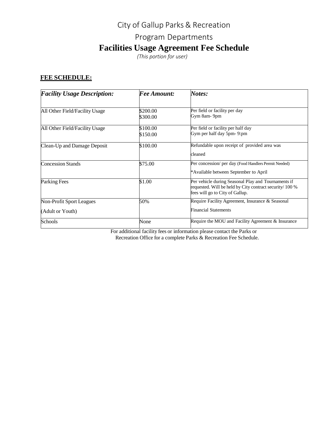# City of Gallup Parks & Recreation Program Departments **Facilities Usage Agreement Fee Schedule**

*(This portion for user)*

## **FEE SCHEDULE:**

| <b>Facility Usage Description:</b> | <b>Fee Amount:</b>   | Notes:<br>Per field or facility per day<br>Gym 8am-9pm                                                                                             |  |  |
|------------------------------------|----------------------|----------------------------------------------------------------------------------------------------------------------------------------------------|--|--|
| All Other Field/Facility Usage     | \$200.00<br>\$300.00 |                                                                                                                                                    |  |  |
| All Other Field/Facility Usage     | \$100.00<br>\$150.00 | Per field or facility per half day<br>Gym per half day 5pm-9:pm                                                                                    |  |  |
| Clean-Up and Damage Deposit        | \$100.00             | Refundable upon receipt of provided area was<br>cleaned                                                                                            |  |  |
| <b>Concession Stands</b>           | \$75.00              | Per concession/ per day (Food Handlers Permit Needed)<br>*Available between September to April                                                     |  |  |
| Parking Fees                       | \$1.00               | Per vehicle during Seasonal Play and Tournaments if<br>requested. Will be held by City contract security/ 100 %<br>fees will go to City of Gallup. |  |  |
| <b>Non-Profit Sport Leagues</b>    | 50%                  | Require Facility Agreement, Insurance & Seasonal                                                                                                   |  |  |
| (Adult or Youth)                   |                      | <b>Financial Statements</b>                                                                                                                        |  |  |
| Schools                            | None                 | Require the MOU and Facility Agreement & Insurance                                                                                                 |  |  |

For additional facility fees or information please contact the Parks or

Recreation Office for a complete Parks & Recreation Fee Schedule.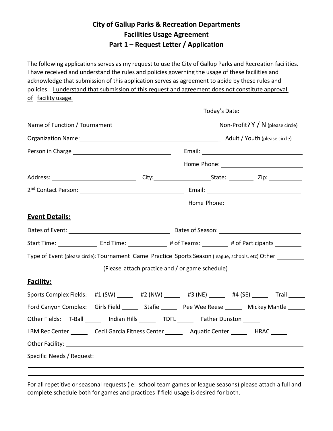## **City of Gallup Parks & Recreation Departments Facilities Usage Agreement Part 1 – Request Letter / Application**

The following applications serves as my request to use the City of Gallup Parks and Recreation facilities. I have received and understand the rules and policies governing the usage of these facilities and acknowledge that submission of this application serves as agreement to abide by these rules and policies. I understand that submission of this request and agreement does not constitute approval of facility usage.

|                                                                                                            | Today's Date: _____________________                                                                                  |  |                                                 |  |  |  |
|------------------------------------------------------------------------------------------------------------|----------------------------------------------------------------------------------------------------------------------|--|-------------------------------------------------|--|--|--|
|                                                                                                            |                                                                                                                      |  |                                                 |  |  |  |
| Organization Name: 1990 Manual Contract Contract Adult / Youth (please circle)                             |                                                                                                                      |  |                                                 |  |  |  |
|                                                                                                            |                                                                                                                      |  |                                                 |  |  |  |
|                                                                                                            |                                                                                                                      |  |                                                 |  |  |  |
|                                                                                                            |                                                                                                                      |  |                                                 |  |  |  |
|                                                                                                            |                                                                                                                      |  |                                                 |  |  |  |
|                                                                                                            |                                                                                                                      |  |                                                 |  |  |  |
| <b>Event Details:</b>                                                                                      |                                                                                                                      |  |                                                 |  |  |  |
|                                                                                                            |                                                                                                                      |  |                                                 |  |  |  |
|                                                                                                            | Start Time: ______________________End Time: _____________________# of Teams: ____________# of Participants _________ |  |                                                 |  |  |  |
| Type of Event (please circle): Tournament Game Practice Sports Season (league, schools, etc) Other _______ |                                                                                                                      |  |                                                 |  |  |  |
|                                                                                                            |                                                                                                                      |  | (Please attach practice and / or game schedule) |  |  |  |
| <b>Facility:</b>                                                                                           |                                                                                                                      |  |                                                 |  |  |  |
| Sports Complex Fields: #1 (SW) _____ #2 (NW) _____ #3 (NE) _____ #4 (SE) _____ Trail ____                  |                                                                                                                      |  |                                                 |  |  |  |
| Ford Canyon Complex: Girls Field ________ Stafie ________ Pee Wee Reese _______ Mickey Mantle _____        |                                                                                                                      |  |                                                 |  |  |  |
| Other Fields: T-Ball _______ Indian Hills ________ TDFL _______ Father Dunston ______                      |                                                                                                                      |  |                                                 |  |  |  |
| LBM Rec Center _________ Cecil Garcia Fitness Center ____________ Aquatic Center ____________ HRAC _______ |                                                                                                                      |  |                                                 |  |  |  |
|                                                                                                            |                                                                                                                      |  |                                                 |  |  |  |
| Specific Needs / Request:                                                                                  |                                                                                                                      |  |                                                 |  |  |  |

For all repetitive or seasonal requests (ie: school team games or league seasons) please attach a full and complete schedule both for games and practices if field usage is desired for both.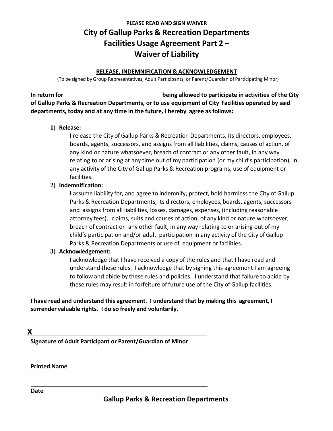## **PLEASE READ AND SIGN WAIVER City of Gallup Parks & Recreation Departments Facilities Usage Agreement Part 2 – Waiver of Liability**

#### **RELEASE, INDEMNIFICATION & ACKNOWLEDGEMENT**

(To be signed byGroup Representatives, Adult Participants, or Parent/Guardian of Participating Minor)

**In return for being allowed to participate in activities of the City of Gallup Parks & Recreation Departments, or to use equipment of City Facilities operated by said departments, today and at any time in the future, I hereby agree as follows:**

#### **1) Release:**

I release the City of Gallup Parks & Recreation Departments, its directors, employees, boards, agents, successors, and assigns from all liabilities, claims, causes of action, of any kind or nature whatsoever, breach of contract or any other fault, in any way relating to or arising at any time out of my participation (or my child's participation), in any activity of the City of Gallup Parks & Recreation programs, use of equipment or facilities.

### **2) Indemnification:**

I assume liability for, and agree to indemnify, protect, hold harmless the City of Gallup Parks & Recreation Departments, its directors, employees, boards, agents, successors and assigns from all liabilities, losses, damages, expenses, (including reasonable attorney fees), claims, suits and causes of action, of any kind or nature whatsoever, breach of contract or any other fault, in any way relating to or arising out of my child's participation and/or adult participation in any activity of the City of Gallup Parks & Recreation Departments or use of equipment or facilities.

#### **3) Acknowledgement:**

I acknowledge that I have received a copy of the rules and that I have read and understand these rules. I acknowledge that by signing this agreement I am agreeing to follow and abide by these rules and policies. I understand that failure to abide by these rules may result in forfeiture of future use of the City of Gallup facilities.

**I have read and understand this agreement. I understand that by making this agreement, I surrender valuable rights. I do so freely and voluntarily.**

**X**

**Signature of Adult Participant or Parent/Guardian of Minor**

**Printed Name**